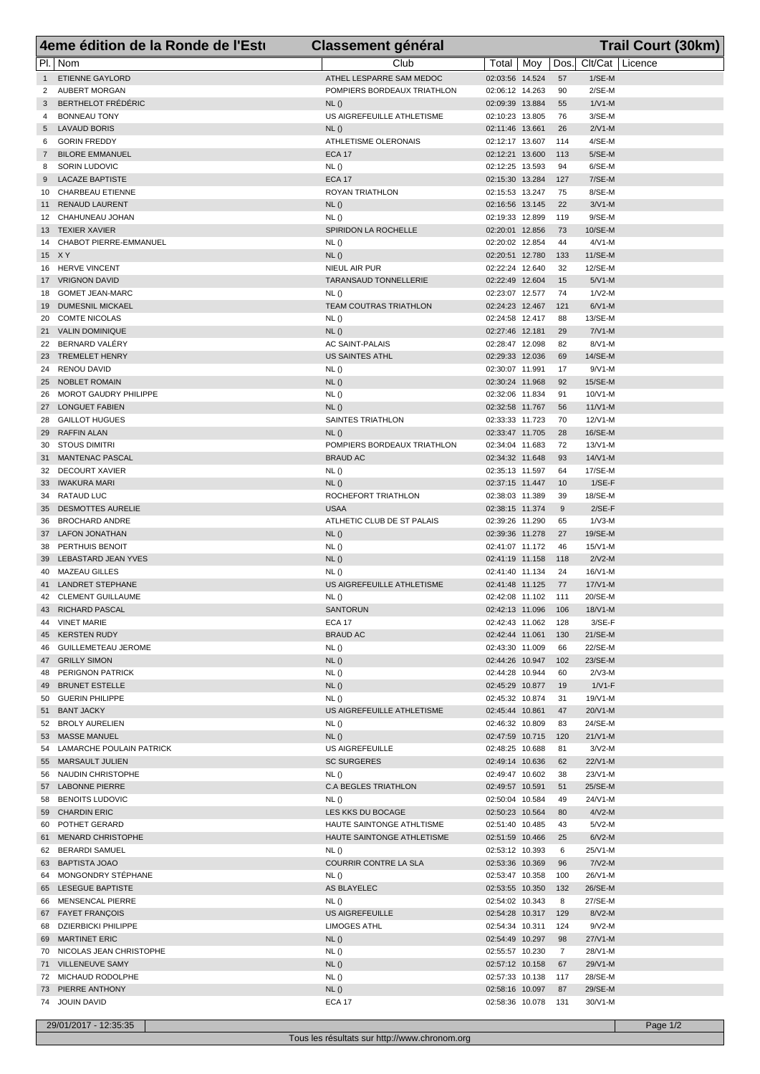|                | 4eme édition de la Ronde de l'Esti          | <b>Classement général</b>           |                                    |                | <b>Trail Court (30km)</b> |
|----------------|---------------------------------------------|-------------------------------------|------------------------------------|----------------|---------------------------|
|                | PI.   Nom                                   | Club                                | Total   Moy                        | Dos.           | Clt/Cat Licence           |
| 1              | <b>ETIENNE GAYLORD</b>                      | ATHEL LESPARRE SAM MEDOC            | 02:03:56 14.524                    | 57             | $1/SE-M$                  |
| 2              | AUBERT MORGAN                               | POMPIERS BORDEAUX TRIATHLON         | 02:06:12 14.263                    | 90             | $2/SE-M$                  |
| 3              | <b>BERTHELOT FRÉDÉRIC</b>                   | NL()                                | 02:09:39 13.884                    | 55             | $1/V1-M$                  |
| 4              | <b>BONNEAU TONY</b>                         | US AIGREFEUILLE ATHLETISME          | 02:10:23 13.805                    | 76             | $3/SE-M$                  |
| 5<br>6         | <b>LAVAUD BORIS</b><br><b>GORIN FREDDY</b>  | NL()<br>ATHLETISME OLERONAIS        | 02:11:46 13.661<br>02:12:17 13.607 | 26<br>114      | $2/N1-M$<br>4/SE-M        |
| $7\phantom{.}$ | <b>BILORE EMMANUEL</b>                      | <b>ECA 17</b>                       | 02:12:21 13.600                    | 113            | $5/SE-M$                  |
| 8              | <b>SORIN LUDOVIC</b>                        | NL()                                | 02:12:25 13.593                    | 94             | 6/SE-M                    |
| 9              | <b>LACAZE BAPTISTE</b>                      | <b>ECA 17</b>                       | 02:15:30 13.284                    | 127            | $7/SE-M$                  |
|                | 10 CHARBEAU ETIENNE                         | ROYAN TRIATHLON                     | 02:15:53 13.247                    | 75             | 8/SE-M                    |
| 11             | <b>RENAUD LAURENT</b>                       | NL()                                | 02:16:56 13.145                    | 22             | $3/V1-M$                  |
|                | 12 CHAHUNEAU JOHAN                          | NL()                                | 02:19:33 12.899                    | 119            | $9/SE-M$                  |
|                | 13 TEXIER XAVIER                            | SPIRIDON LA ROCHELLE                | 02:20:01 12.856                    | 73<br>44       | 10/SE-M                   |
| 14             | CHABOT PIERRE-EMMANUEL<br>15 X Y            | NL()<br>NL()                        | 02:20:02 12.854<br>02:20:51 12.780 | 133            | $4/V1-M$<br>11/SE-M       |
|                | 16 HERVE VINCENT                            | NIEUL AIR PUR                       | 02:22:24 12.640                    | 32             | 12/SE-M                   |
|                | 17 VRIGNON DAVID                            | TARANSAUD TONNELLERIE               | 02:22:49 12.604                    | 15             | $5/N1-M$                  |
| 18             | <b>GOMET JEAN-MARC</b>                      | NL()                                | 02:23:07 12.577                    | 74             | $1/N2-M$                  |
|                | 19 DUMESNIL MICKAEL                         | <b>TEAM COUTRAS TRIATHLON</b>       | 02:24:23 12.467                    | 121            | $6/V1-M$                  |
|                | 20 COMTE NICOLAS                            | NL()                                | 02:24:58 12.417                    | 88             | 13/SE-M                   |
|                | 21 VALIN DOMINIQUE                          | NL()                                | 02:27:46 12.181                    | 29             | $7/N1-M$                  |
|                | 22 BERNARD VALÉRY                           | AC SAINT-PALAIS                     | 02:28:47 12.098                    | 82             | $8/N1-M$                  |
|                | 23 TREMELET HENRY<br>24 RENOU DAVID         | <b>US SAINTES ATHL</b><br>NL()      | 02:29:33 12.036<br>02:30:07 11.991 | 69<br>17       | 14/SE-M<br>$9/N1-M$       |
|                | 25 NOBLET ROMAIN                            | NL()                                | 02:30:24 11.968                    | 92             | 15/SE-M                   |
| 26             | MOROT GAUDRY PHILIPPE                       | NL()                                | 02:32:06 11.834                    | 91             | $10/V1-M$                 |
|                | 27 LONGUET FABIEN                           | NL()                                | 02:32:58 11.767                    | 56             | $11/V1-M$                 |
|                | 28 GAILLOT HUGUES                           | SAINTES TRIATHLON                   | 02:33:33 11.723                    | 70             | 12/V1-M                   |
|                | 29 RAFFIN ALAN                              | NL()                                | 02:33:47 11.705                    | 28             | 16/SE-M                   |
|                | 30 STOUS DIMITRI                            | POMPIERS BORDEAUX TRIATHLON         | 02:34:04 11.683                    | 72             | 13/V1-M                   |
|                | 31 MANTENAC PASCAL<br>32 DECOURT XAVIER     | <b>BRAUD AC</b><br>NL()             | 02:34:32 11.648<br>02:35:13 11.597 | 93<br>64       | $14/N1-M$<br>17/SE-M      |
|                | 33 IWAKURA MARI                             | NL()                                | 02:37:15 11.447                    | 10             | $1/SE-F$                  |
|                | 34 RATAUD LUC                               | ROCHEFORT TRIATHLON                 | 02:38:03 11.389                    | 39             | 18/SE-M                   |
|                | 35 DESMOTTES AURELIE                        | <b>USAA</b>                         | 02:38:15 11.374                    | 9              | $2/SE-F$                  |
|                | 36 BROCHARD ANDRE                           | ATLHETIC CLUB DE ST PALAIS          | 02:39:26 11.290                    | 65             | $1/\nu$ 3-M               |
|                | 37 LAFON JONATHAN                           | NL()                                | 02:39:36 11.278                    | 27             | 19/SE-M                   |
|                | 38 PERTHUIS BENOIT                          | NL()                                | 02:41:07 11.172                    | 46             | 15/V1-M                   |
|                | 39 LEBASTARD JEAN YVES                      | NL()                                | 02:41:19 11.158                    | 118<br>24      | $2/N2-M$                  |
| 41             | 40 MAZEAU GILLES<br><b>LANDRET STEPHANE</b> | NL()<br>US AIGREFEUILLE ATHLETISME  | 02:41:40 11.134<br>02:41:48 11.125 | 77             | 16/V1-M<br>$17/N1-M$      |
|                | 42 CLEMENT GUILLAUME                        | NL()                                | 02:42:08 11.102                    | 111            | 20/SE-M                   |
|                | 43 RICHARD PASCAL                           | SANTORUN                            | 02:42:13 11.096                    | 106            | 18/V1-M                   |
|                | 44 VINET MARIE                              | <b>ECA 17</b>                       | 02:42:43 11.062                    | 128            | $3/SE-F$                  |
|                | 45 KERSTEN RUDY                             | <b>BRAUD AC</b>                     | 02:42:44 11.061                    | 130            | 21/SE-M                   |
|                | 46 GUILLEMETEAU JEROME                      | NL ()                               | 02:43:30 11.009                    | 66             | 22/SE-M                   |
|                | 47 GRILLY SIMON                             | NL()                                | 02:44:26 10.947                    | 102            | 23/SE-M                   |
|                | 48 PERIGNON PATRICK<br>49 BRUNET ESTELLE    | NL()<br>NL()                        | 02:44:28 10.944<br>02:45:29 10.877 | 60<br>19       | $2/N3-M$<br>$1/V1-F$      |
|                | 50 GUERIN PHILIPPE                          | NL()                                | 02:45:32 10.874                    | 31             | 19/V1-M                   |
|                | 51 BANT JACKY                               | US AIGREFEUILLE ATHLETISME          | 02:45:44 10.861                    | 47             | 20/V1-M                   |
|                | 52 BROLY AURELIEN                           | NL()                                | 02:46:32 10.809                    | 83             | 24/SE-M                   |
|                | 53 MASSE MANUEL                             | NL()                                | 02:47:59 10.715                    | 120            | $21/N1-M$                 |
|                | 54 LAMARCHE POULAIN PATRICK                 | US AIGREFEUILLE                     | 02:48:25 10.688                    | 81             | $3/N2-M$                  |
|                | 55 MARSAULT JULIEN                          | <b>SC SURGERES</b>                  | 02:49:14 10.636                    | 62             | 22/V1-M                   |
|                | 56 NAUDIN CHRISTOPHE                        | NL()                                | 02:49:47 10.602                    | 38             | 23/V1-M                   |
|                | 57 LABONNE PIERRE<br>58 BENOITS LUDOVIC     | <b>C.A BEGLES TRIATHLON</b><br>NL() | 02:49:57 10.591<br>02:50:04 10.584 | 51<br>49       | 25/SE-M<br>24/V1-M        |
|                | 59 CHARDIN ERIC                             | LES KKS DU BOCAGE                   | 02:50:23 10.564                    | 80             | $4/N2-M$                  |
|                | 60 POTHET GERARD                            | HAUTE SAINTONGE ATHLTISME           | 02:51:40 10.485                    | 43             | $5/N2-M$                  |
|                | 61 MENARD CHRISTOPHE                        | HAUTE SAINTONGE ATHLETISME          | 02:51:59 10.466                    | 25             | $6/N2-M$                  |
|                | 62 BERARDI SAMUEL                           | NL ()                               | 02:53:12 10.393                    | 6              | 25/V1-M                   |
|                | 63 BAPTISTA JOAO                            | COURRIR CONTRE LA SLA               | 02:53:36 10.369                    | 96             | $7/N2-M$                  |
|                | 64 MONGONDRY STÉPHANE                       | NL ()                               | 02:53:47 10.358                    | 100            | 26/V1-M                   |
|                | 65 LESEGUE BAPTISTE                         | AS BLAYELEC                         | 02:53:55 10.350                    | 132            | 26/SE-M                   |
|                | 66 MENSENCAL PIERRE<br>67 FAYET FRANÇOIS    | NL ()<br>US AIGREFEUILLE            | 02:54:02 10.343<br>02:54:28 10.317 | 8<br>129       | 27/SE-M<br>$8/N2-M$       |
|                | 68 DZIERBICKI PHILIPPE                      | <b>LIMOGES ATHL</b>                 | 02:54:34 10.311                    | 124            | $9/V2-M$                  |
|                | 69 MARTINET ERIC                            | NL()                                | 02:54:49 10.297                    | 98             | 27/V1-M                   |
|                | 70 NICOLAS JEAN CHRISTOPHE                  | NL ()                               | 02:55:57 10.230                    | $\overline{7}$ | 28/V1-M                   |
|                | 71 VILLENEUVE SAMY                          | NL()                                | 02:57:12 10.158                    | 67             | 29/V1-M                   |
|                | 72 MICHAUD RODOLPHE                         | NL ()                               | 02:57:33 10.138                    | 117            | 28/SE-M                   |
|                | 73 PIERRE ANTHONY                           | NL()                                | 02:58:16 10.097                    | 87             | 29/SE-M                   |
|                | 74 JOUIN DAVID                              | <b>ECA 17</b>                       | 02:58:36 10.078                    | 131            | 30/V1-M                   |

29/01/2017 - 12:35:35 Page 1/2